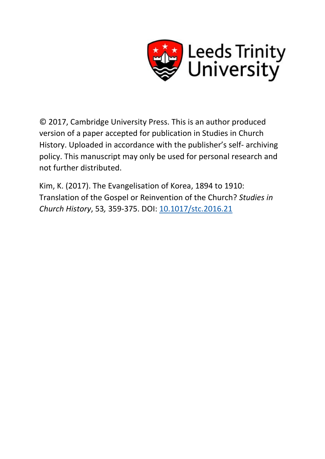

© 2017, Cambridge University Press. This is an author produced version of a paper accepted for publication in Studies in Church History. Uploaded in accordance with the publisher's self- archiving policy. This manuscript may only be used for personal research and not further distributed.

Kim, K. (2017). The Evangelisation of Korea, 1894 to 1910: Translation of the Gospel or Reinvention of the Church? *Studies in Church History*, 53*,* 359-375. DOI: [10.1017/stc.2016.21](http://dx.doi.org/10.1017/stc.2016.21)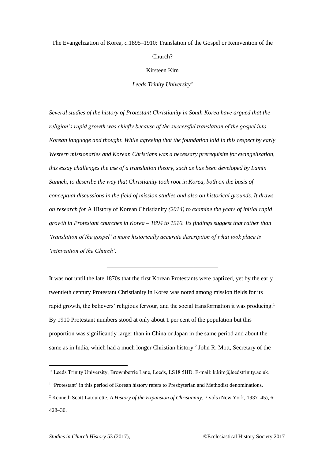### The Evangelization of Korea, *c*.1895–1910: Translation of the Gospel or Reinvention of the

Church?

Kirsteen Kim

*Leeds Trinity University*

*Several studies of the history of Protestant Christianity in South Korea have argued that the religion's rapid growth was chiefly because of the successful translation of the gospel into Korean language and thought. While agreeing that the foundation laid in this respect by early Western missionaries and Korean Christians was a necessary prerequisite for evangelization, this essay challenges the use of a translation theory, such as has been developed by Lamin Sanneh, to describe the way that Christianity took root in Korea, both on the basis of conceptual discussions in the field of mission studies and also on historical grounds. It draws on research for* A History of Korean Christianity *(2014) to examine the years of initial rapid growth in Protestant churches in Korea – 1894 to 1910. Its findings suggest that rather than 'translation of the gospel' a more historically accurate description of what took place is 'reinvention of the Church'.*

It was not until the late 1870s that the first Korean Protestants were baptized, yet by the early twentieth century Protestant Christianity in Korea was noted among mission fields for its rapid growth, the believers' religious fervour, and the social transformation it was producing.<sup>1</sup> By 1910 Protestant numbers stood at only about 1 per cent of the population but this proportion was significantly larger than in China or Japan in the same period and about the same as in India, which had a much longer Christian history.<sup>2</sup> John R. Mott, Secretary of the

\_\_\_\_\_\_\_\_\_\_\_\_\_\_\_\_\_\_\_\_\_\_\_\_\_\_\_\_\_\_\_\_\_\_\_\_\_

Leeds Trinity University, Brownberrie Lane, Leeds, LS18 5HD. E-mail: k.kim@leedstrinity.ac.uk.

<sup>&</sup>lt;sup>1</sup> 'Protestant' in this period of Korean history refers to Presbyterian and Methodist denominations.

<sup>2</sup> Kenneth Scott Latourette, *A History of the Expansion of Christianity*, 7 vols (New York, 1937–45), 6: 428–30.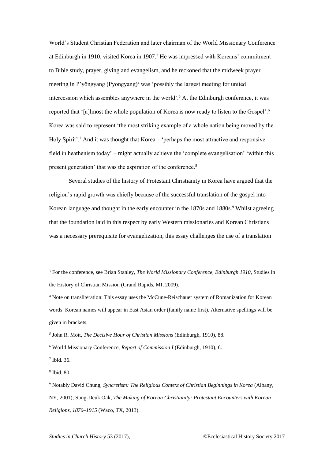World's Student Christian Federation and later chairman of the World Missionary Conference at Edinburgh in 1910, visited Korea in 1907.<sup>3</sup> He was impressed with Koreans' commitment to Bible study, prayer, giving and evangelism, and he reckoned that the midweek prayer meeting in P'yŏngyang (Pyongyang)<sup>4</sup> was 'possibly the largest meeting for united intercession which assembles anywhere in the world'.<sup>5</sup> At the Edinburgh conference, it was reported that '[a]lmost the whole population of Korea is now ready to listen to the Gospel'.<sup>6</sup> Korea was said to represent 'the most striking example of a whole nation being moved by the Holy Spirit'.<sup>7</sup> And it was thought that Korea – 'perhaps the most attractive and responsive field in heathenism today' – might actually achieve the 'complete evangelisation' 'within this present generation' that was the aspiration of the conference.<sup>8</sup>

Several studies of the history of Protestant Christianity in Korea have argued that the religion's rapid growth was chiefly because of the successful translation of the gospel into Korean language and thought in the early encounter in the 1870s and 1880s.<sup>9</sup> Whilst agreeing that the foundation laid in this respect by early Western missionaries and Korean Christians was a necessary prerequisite for evangelization, this essay challenges the use of a translation

<sup>3</sup> For the conference, see Brian Stanley, *The World Missionary Conference, Edinburgh 1910*, Studies in the History of Christian Mission (Grand Rapids, MI, 2009).

<sup>4</sup> Note on transliteration: This essay uses the McCune-Reischauer system of Romanization for Korean words. Korean names will appear in East Asian order (family name first). Alternative spellings will be given in brackets.

<sup>5</sup> John R. Mott, *The Decisive Hour of Christian Missions* (Edinburgh, 1910), 88.

<sup>6</sup> World Missionary Conference, *Report of Commission I* (Edinburgh, 1910), 6.

<sup>7</sup> Ibid. 36.

<sup>8</sup> Ibid. 80.

<sup>9</sup> Notably David Chung, *Syncretism: The Religious Context of Christian Beginnings in Korea* (Albany, NY, 2001); Sung-Deuk Oak, *The Making of Korean Christianity: Protestant Encounters with Korean Religions, 1876–1915* (Waco, TX, 2013).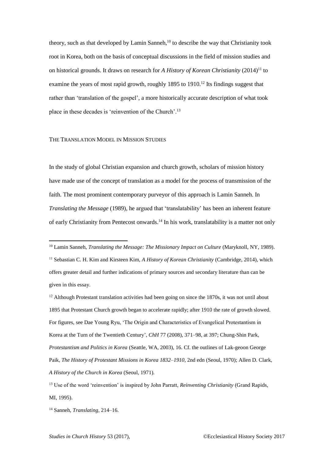theory, such as that developed by Lamin Sanneh.<sup>10</sup> to describe the way that Christianity took root in Korea, both on the basis of conceptual discussions in the field of mission studies and on historical grounds. It draws on research for *A History of Korean Christianity* (2014)<sup>11</sup> to examine the years of most rapid growth, roughly  $1895$  to  $1910$ <sup>12</sup> Its findings suggest that rather than 'translation of the gospel', a more historically accurate description of what took place in these decades is 'reinvention of the Church'.<sup>13</sup>

# THE TRANSLATION MODEL IN MISSION STUDIES

In the study of global Christian expansion and church growth, scholars of mission history have made use of the concept of translation as a model for the process of transmission of the faith. The most prominent contemporary purveyor of this approach is Lamin Sanneh. In *Translating the Message* (1989), he argued that 'translatability' has been an inherent feature of early Christianity from Pentecost onwards.<sup>14</sup> In his work, translatability is a matter not only

<sup>12</sup> Although Protestant translation activities had been going on since the 1870s, it was not until about 1895 that Protestant Church growth began to accelerate rapidly; after 1910 the rate of growth slowed. For figures, see Dae Young Ryu, 'The Origin and Characteristics of Evangelical Protestantism in Korea at the Turn of the Twentieth Century', *ChH* 77 (2008), 371–98, at 397; Chung-Shin Park, *Protestantism and Politics in Korea* (Seattle, WA, 2003), 16. Cf. the outlines of Lak-geoon George Paik, *The History of Protestant Missions in Korea 1832–1910*, 2nd edn (Seoul, 1970); Allen D. Clark, *A History of the Church in Korea* (Seoul, 1971).

<sup>14</sup> Sanneh, *Translating*, 214–16.

<sup>10</sup> Lamin Sanneh, *Translating the Message: The Missionary Impact on Culture* (Maryknoll, NY, 1989). <sup>11</sup> Sebastian C. H. Kim and Kirsteen Kim, *A History of Korean Christianity* (Cambridge, 2014), which offers greater detail and further indications of primary sources and secondary literature than can be given in this essay.

<sup>13</sup> Use of the word 'reinvention' is inspired by John Parratt, *Reinventing Christianity* (Grand Rapids, MI, 1995).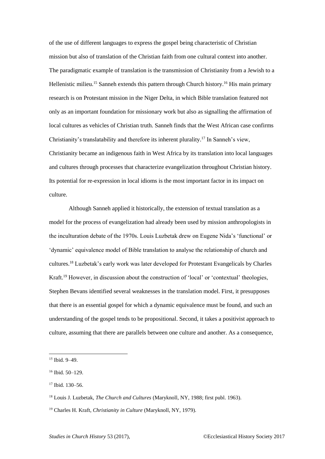of the use of different languages to express the gospel being characteristic of Christian mission but also of translation of the Christian faith from one cultural context into another. The paradigmatic example of translation is the transmission of Christianity from a Jewish to a Hellenistic milieu.<sup>15</sup> Sanneh extends this pattern through Church history.<sup>16</sup> His main primary research is on Protestant mission in the Niger Delta, in which Bible translation featured not only as an important foundation for missionary work but also as signalling the affirmation of local cultures as vehicles of Christian truth. Sanneh finds that the West African case confirms Christianity's translatability and therefore its inherent plurality.<sup>17</sup> In Sanneh's view, Christianity became an indigenous faith in West Africa by its translation into local languages and cultures through processes that characterize evangelization throughout Christian history. Its potential for re-expression in local idioms is the most important factor in its impact on culture.

Although Sanneh applied it historically, the extension of textual translation as a model for the process of evangelization had already been used by mission anthropologists in the inculturation debate of the 1970s. Louis Luzbetak drew on Eugene Nida's 'functional' or 'dynamic' equivalence model of Bible translation to analyse the relationship of church and cultures.<sup>18</sup> Luzbetak's early work was later developed for Protestant Evangelicals by Charles Kraft.<sup>19</sup> However, in discussion about the construction of 'local' or 'contextual' theologies, Stephen Bevans identified several weaknesses in the translation model. First, it presupposes that there is an essential gospel for which a dynamic equivalence must be found, and such an understanding of the gospel tends to be propositional. Second, it takes a positivist approach to culture, assuming that there are parallels between one culture and another. As a consequence,

<sup>15</sup> Ibid. 9–49.

<sup>16</sup> Ibid. 50–129.

<sup>17</sup> Ibid. 130–56.

<sup>18</sup> Louis J. Luzbetak, *The Church and Cultures* (Maryknoll, NY, 1988; first publ. 1963).

<sup>19</sup> Charles H. Kraft, *Christianity in Culture* (Maryknoll, NY, 1979).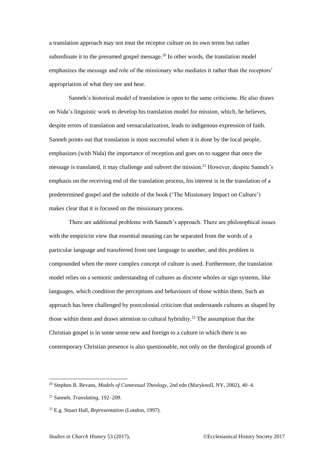a translation approach may not treat the receptor culture on its own terms but rather subordinate it to the presumed gospel message.<sup>20</sup> In other words, the translation model emphasizes the message and role of the missionary who mediates it rather than the receptors' appropriation of what they see and hear.

Sanneh's historical model of translation is open to the same criticisms. He also draws on Nida's linguistic work to develop his translation model for mission, which, he believes, despite errors of translation and vernacularization, leads to indigenous expression of faith. Sanneh points out that translation is most successful when it is done by the local people, emphasizes (with Nida) the importance of reception and goes on to suggest that once the message is translated, it may challenge and subvert the mission.<sup>21</sup> However, despite Sanneh's emphasis on the receiving end of the translation process, his interest is in the translation of a predetermined gospel and the subtitle of the book ('The Missionary Impact on Culture') makes clear that it is focused on the missionary process.

There are additional problems with Sanneh's approach. There are philosophical issues with the empiricist view that essential meaning can be separated from the words of a particular language and transferred from one language to another, and this problem is compounded when the more complex concept of culture is used. Furthermore, the translation model relies on a semiotic understanding of cultures as discrete wholes or sign systems, like languages, which condition the perceptions and behaviours of those within them. Such an approach has been challenged by postcolonial criticism that understands cultures as shaped by those within them and draws attention to cultural hybridity.<sup>22</sup> The assumption that the Christian gospel is in some sense new and foreign to a culture in which there is no contemporary Christian presence is also questionable, not only on the theological grounds of

<sup>20</sup> Stephen B. Bevans, *Models of Contextual Theology*, 2nd edn (Maryknoll, NY, 2002), 40–4.

<sup>21</sup> Sanneh, *Translating*, 192–209.

<sup>22</sup> E.g. Stuart Hall, *Representation* (London, 1997).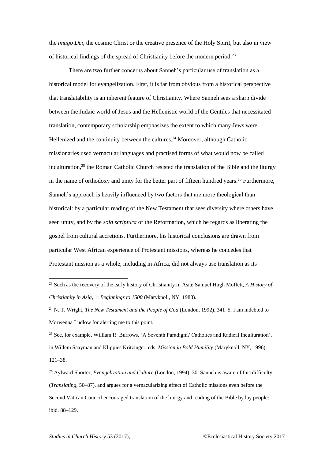the *imago Dei*, the cosmic Christ or the creative presence of the Holy Spirit, but also in view of historical findings of the spread of Christianity before the modern period.<sup>23</sup>

There are two further concerns about Sanneh's particular use of translation as a historical model for evangelization. First, it is far from obvious from a historical perspective that translatability is an inherent feature of Christianity. Where Sanneh sees a sharp divide between the Judaic world of Jesus and the Hellenistic world of the Gentiles that necessitated translation, contemporary scholarship emphasizes the extent to which many Jews were Hellenized and the continuity between the cultures.<sup>24</sup> Moreover, although Catholic missionaries used vernacular languages and practised forms of what would now be called inculturation, $25$  the Roman Catholic Church resisted the translation of the Bible and the liturgy in the name of orthodoxy and unity for the better part of fifteen hundred years.<sup>26</sup> Furthermore, Sanneh's approach is heavily influenced by two factors that are more theological than historical: by a particular reading of the New Testament that sees diversity where others have seen unity, and by the *sola scriptura* of the Reformation, which he regards as liberating the gospel from cultural accretions. Furthermore, his historical conclusions are drawn from particular West African experience of Protestant missions, whereas he concedes that Protestant mission as a whole, including in Africa, did not always use translation as its

<sup>25</sup> See, for example, William R. Burrows, 'A Seventh Paradigm? Catholics and Radical Inculturation', in Willem Saayman and Klippies Kritzinger, eds, *Mission in Bold Humility* (Maryknoll, NY, 1996), 121–38.

<sup>26</sup> Aylward Shorter, *Evangelization and Culture* (London, 1994), 30. Sanneh is aware of this difficulty (*Translating*, 50–87), and argues for a vernacularizing effect of Catholic missions even before the Second Vatican Council encouraged translation of the liturgy and reading of the Bible by lay people: ibid. 88–129.

<sup>23</sup> Such as the recovery of the early history of Christianity in Asia: Samuel Hugh Moffett, *A History of Christianity in Asia*, 1: *Beginnings to 1500* (Maryknoll, NY, 1988).

<sup>24</sup> N. T. Wright, *The New Testament and the People of God* (London, 1992), 341–5. I am indebted to Morwenna Ludlow for alerting me to this point.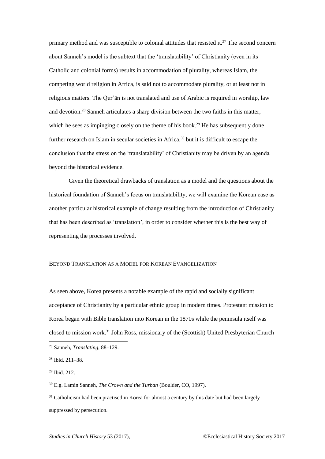primary method and was susceptible to colonial attitudes that resisted it.<sup>27</sup> The second concern about Sanneh's model is the subtext that the 'translatability' of Christianity (even in its Catholic and colonial forms) results in accommodation of plurality, whereas Islam, the competing world religion in Africa, is said not to accommodate plurality, or at least not in religious matters. The Qur'ān is not translated and use of Arabic is required in worship, law and devotion.<sup>28</sup> Sanneh articulates a sharp division between the two faiths in this matter, which he sees as impinging closely on the theme of his book.<sup>29</sup> He has subsequently done further research on Islam in secular societies in Africa,<sup>30</sup> but it is difficult to escape the conclusion that the stress on the 'translatability' of Christianity may be driven by an agenda beyond the historical evidence.

Given the theoretical drawbacks of translation as a model and the questions about the historical foundation of Sanneh's focus on translatability, we will examine the Korean case as another particular historical example of change resulting from the introduction of Christianity that has been described as 'translation', in order to consider whether this is the best way of representing the processes involved.

# BEYOND TRANSLATION AS A MODEL FOR KOREAN EVANGELIZATION

As seen above, Korea presents a notable example of the rapid and socially significant acceptance of Christianity by a particular ethnic group in modern times. Protestant mission to Korea began with Bible translation into Korean in the 1870s while the peninsula itself was closed to mission work.<sup>31</sup> John Ross, missionary of the (Scottish) United Presbyterian Church

<sup>27</sup> Sanneh, *Translating*, 88–129.

<sup>28</sup> Ibid. 211–38.

<sup>29</sup> Ibid. 212.

<sup>30</sup> E.g. Lamin Sanneh, *The Crown and the Turban* (Boulder, CO, 1997).

 $31$  Catholicism had been practised in Korea for almost a century by this date but had been largely suppressed by persecution.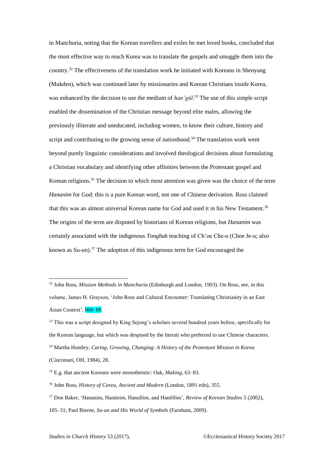in Manchuria, noting that the Korean travellers and exiles he met loved books, concluded that the most effective way to reach Korea was to translate the gospels and smuggle them into the country.<sup>32</sup> The effectiveness of the translation work he initiated with Koreans in Shenyang (Mukden), which was continued later by missionaries and Korean Christians inside Korea, was enhanced by the decision to use the medium of *han'gŭl*. <sup>33</sup> The use of this simple script enabled the dissemination of the Christian message beyond elite males, allowing the previously illiterate and uneducated, including women, to know their culture, history and script and contributing to the growing sense of nationhood.<sup>34</sup> The translation work went beyond purely linguistic considerations and involved theological decisions about formulating a Christian vocabulary and identifying other affinities between the Protestant gospel and Korean religions.<sup>35</sup> The decision to which most attention was given was the choice of the term *Hananim* for God: this is a pure Korean word, not one of Chinese derivation. Ross claimed that this was an almost universal Korean name for God and used it in his New Testament.<sup>36</sup> The origins of the term are disputed by historians of Korean religions, but *Hananim* was certainly associated with the indigenous *Tonghak* teaching of Ch'oe Che-u (Choe Je-u; also known as Su-un). <sup>37</sup> The adoption of this indigenous term for God encouraged the

<sup>32</sup> John Ross, *Mission Methods in Manchuria* (Edinburgh and London, 1903). On Ross, see, in this volume, James H. Grayson, 'John Ross and Cultural Encounter: Translating Christianity in an East Asian Context', 000–00.

<sup>&</sup>lt;sup>33</sup> This was a script designed by King Sejong's scholars several hundred years before, specifically for the Korean language, but which was despised by the literati who preferred to use Chinese characters. <sup>34</sup> Martha Huntley, *Caring, Growing, Changing: A History of the Protestant Mission in Korea* (Cincinnati, OH, 1984), 28.

<sup>35</sup> E.g. that ancient Koreans were monotheistic: Oak, *Making*, 63–83.

<sup>36</sup> John Ross, *History of Corea, Ancient and Modern* (London, 1891 edn), 355.

<sup>37</sup> Don Baker, 'Hananim, Hanŭnim, Hanullim, and Hanŏllim', *Review of Korean Studies* 5 (2002), 105–31; Paul Bierne, *Su-un and His World of Symbols* (Farnham, 2009).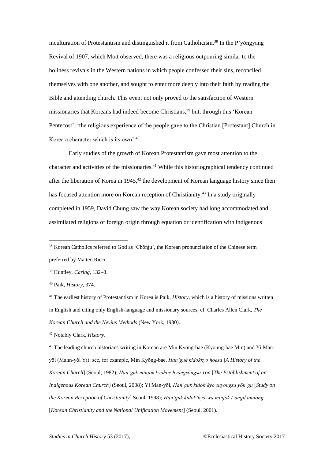inculturation of Protestantism and distinguished it from Catholicism.<sup>38</sup> In the P'vongvang Revival of 1907, which Mott observed, there was a religious outpouring similar to the holiness revivals in the Western nations in which people confessed their sins, reconciled themselves with one another, and sought to enter more deeply into their faith by reading the Bible and attending church. This event not only proved to the satisfaction of Western missionaries that Koreans had indeed become Christians,<sup>39</sup> but, through this 'Korean Pentecost', 'the religious experience of the people gave to the Christian [Protestant] Church in Korea a character which is its own'.<sup>40</sup>

Early studies of the growth of Korean Protestantism gave most attention to the character and activities of the missionaries.<sup>41</sup> While this historiographical tendency continued after the liberation of Korea in  $1945$ ,<sup>42</sup> the development of Korean language history since then has focused attention more on Korean reception of Christianity.<sup>43</sup> In a study originally completed in 1959, David Chung saw the way Korean society had long accommodated and assimilated religions of foreign origin through equation or identification with indigenous

<sup>40</sup> Paik, *History*, 374.

 $\overline{a}$ 

<sup>41</sup> The earliest history of Protestantism in Korea is Paik, *History*, which is a history of missions written in English and citing only English-language and missionary sources; cf. Charles Allen Clark, *The Korean Church and the Nevius Methods* (New York, 1930).

<sup>42</sup> Notably Clark, *History*.

<sup>43</sup> The leading church historians writing in Korean are Min Kyŏng-bae (Kyoung-bae Min) and Yi Manyŏl (Mahn-yŏl Yi): see, for example, Min Kyŏng-bae, *Han'guk kidokkyo hoesa* [*A History of the Korean Church*] (Seoul, 1982); *Han'guk minjok kyohoe hyŏngsŏngsa-ron* [*The Establishment of an Indigenous Korean Church*] (Seoul, 2008); Yi Man-yŏl, *Han'guk kidok'kyo suyongsa yŏn'gu* [*Study on the Korean Reception of Christianity*] Seoul, 1998); *Han'guk kidok'kyo-wa minjok t'ongil undong* [*Korean Christianity and the National Unification Movement*] (Seoul, 2001).

<sup>&</sup>lt;sup>38</sup> Korean Catholics referred to God as 'Chŏnju', the Korean pronunciation of the Chinese term preferred by Matteo Ricci.

<sup>39</sup> Huntley, *Caring*, 132–8.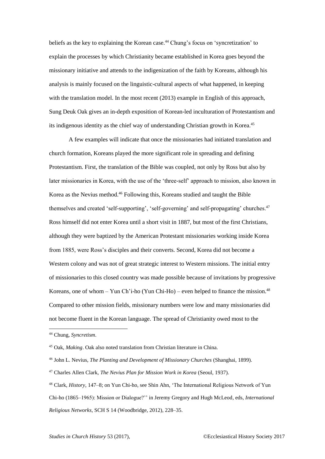beliefs as the key to explaining the Korean case.<sup>44</sup> Chung's focus on 'syncretization' to explain the processes by which Christianity became established in Korea goes beyond the missionary initiative and attends to the indigenization of the faith by Koreans, although his analysis is mainly focused on the linguistic-cultural aspects of what happened, in keeping with the translation model. In the most recent (2013) example in English of this approach, Sung Deuk Oak gives an in-depth exposition of Korean-led inculturation of Protestantism and its indigenous identity as the chief way of understanding Christian growth in Korea.<sup>45</sup>

A few examples will indicate that once the missionaries had initiated translation and church formation, Koreans played the more significant role in spreading and defining Protestantism. First, the translation of the Bible was coupled, not only by Ross but also by later missionaries in Korea, with the use of the 'three-self' approach to mission, also known in Korea as the Nevius method.<sup>46</sup> Following this, Koreans studied and taught the Bible themselves and created 'self-supporting', 'self-governing' and self-propagating' churches.<sup>47</sup> Ross himself did not enter Korea until a short visit in 1887, but most of the first Christians, although they were baptized by the American Protestant missionaries working inside Korea from 1885, were Ross's disciples and their converts. Second, Korea did not become a Western colony and was not of great strategic interest to Western missions. The initial entry of missionaries to this closed country was made possible because of invitations by progressive Koreans, one of whom – Yun Ch'i-ho (Yun Chi-Ho) – even helped to finance the mission.<sup>48</sup> Compared to other mission fields, missionary numbers were low and many missionaries did not become fluent in the Korean language. The spread of Christianity owed most to the

<sup>44</sup> Chung, *Syncretism*.

<sup>45</sup> Oak, *Making*. Oak also noted translation from Christian literature in China.

<sup>46</sup> John L. Nevius, *The Planting and Development of Missionary Churches* (Shanghai, 1899).

<sup>47</sup> Charles Allen Clark, *The Nevius Plan for Mission Work in Korea* (Seoul, 1937).

<sup>48</sup> Clark, *History*, 147–8; on Yun Chi-ho, see Shin Ahn, 'The International Religious Network of Yun Chi-ho (1865–1965): Mission or Dialogue?'' in Jeremy Gregory and Hugh McLeod, eds, *International Religious Networks*, SCH S 14 (Woodbridge, 2012), 228–35.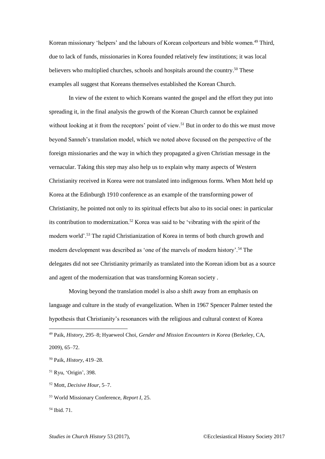Korean missionary 'helpers' and the labours of Korean colporteurs and bible women.<sup>49</sup> Third, due to lack of funds, missionaries in Korea founded relatively few institutions; it was local believers who multiplied churches, schools and hospitals around the country.<sup>50</sup> These examples all suggest that Koreans themselves established the Korean Church.

In view of the extent to which Koreans wanted the gospel and the effort they put into spreading it, in the final analysis the growth of the Korean Church cannot be explained without looking at it from the receptors' point of view.<sup>51</sup> But in order to do this we must move beyond Sanneh's translation model, which we noted above focused on the perspective of the foreign missionaries and the way in which they propagated a given Christian message in the vernacular. Taking this step may also help us to explain why many aspects of Western Christianity received in Korea were not translated into indigenous forms. When Mott held up Korea at the Edinburgh 1910 conference as an example of the transforming power of Christianity, he pointed not only to its spiritual effects but also to its social ones: in particular its contribution to modernization.<sup>52</sup> Korea was said to be 'vibrating with the spirit of the modern world'.<sup>53</sup> The rapid Christianization of Korea in terms of both church growth and modern development was described as 'one of the marvels of modern history'.<sup>54</sup> The delegates did not see Christianity primarily as translated into the Korean idiom but as a source and agent of the modernization that was transforming Korean society .

Moving beyond the translation model is also a shift away from an emphasis on language and culture in the study of evangelization. When in 1967 Spencer Palmer tested the hypothesis that Christianity's resonances with the religious and cultural context of Korea

- <sup>52</sup> Mott, *Decisive Hour*, 5–7.
- <sup>53</sup> World Missionary Conference, *Report I*, 25.
- <sup>54</sup> Ibid. 71.

<sup>49</sup> Paik, *History*, 295–8; Hyaeweol Choi, *Gender and Mission Encounters in Korea* (Berkeley, CA,

<sup>2009), 65–72.</sup>

<sup>50</sup> Paik, *History*, 419–28.

<sup>51</sup> Ryu, 'Origin', 398.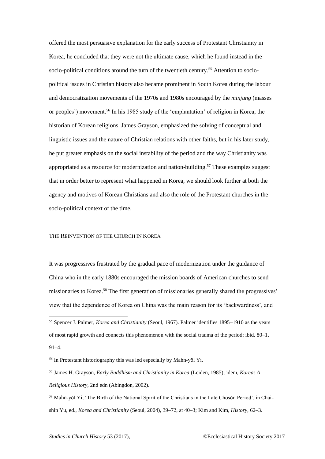offered the most persuasive explanation for the early success of Protestant Christianity in Korea, he concluded that they were not the ultimate cause, which he found instead in the socio-political conditions around the turn of the twentieth century.<sup>55</sup> Attention to sociopolitical issues in Christian history also became prominent in South Korea during the labour and democratization movements of the 1970s and 1980s encouraged by the *minjung* (masses or peoples') movement.<sup>56</sup> In his 1985 study of the 'emplantation' of religion in Korea, the historian of Korean religions, James Grayson, emphasized the solving of conceptual and linguistic issues and the nature of Christian relations with other faiths, but in his later study, he put greater emphasis on the social instability of the period and the way Christianity was appropriated as a resource for modernization and nation-building.<sup>57</sup> These examples suggest that in order better to represent what happened in Korea, we should look further at both the agency and motives of Korean Christians and also the role of the Protestant churches in the socio-political context of the time.

#### THE REINVENTION OF THE CHURCH IN KOREA

It was progressives frustrated by the gradual pace of modernization under the guidance of China who in the early 1880s encouraged the mission boards of American churches to send missionaries to Korea.<sup>58</sup> The first generation of missionaries generally shared the progressives' view that the dependence of Korea on China was the main reason for its 'backwardness', and

<sup>55</sup> Spencer J. Palmer, *Korea and Christianity* (Seoul, 1967). Palmer identifies 1895–1910 as the years of most rapid growth and connects this phenomenon with the social trauma of the period: ibid. 80–1, 91–4.

<sup>56</sup> In Protestant historiography this was led especially by Mahn-yŏl Yi.

<sup>57</sup> James H. Grayson, *Early Buddhism and Christianity in Korea* (Leiden, 1985); idem, *Korea: A Religious History*, 2nd edn (Abingdon, 2002).

<sup>58</sup> Mahn-yŏl Yi, 'The Birth of the National Spirit of the Christians in the Late Chosŏn Period', in Chaishin Yu, ed., *Korea and Christianity* (Seoul, 2004), 39–72, at 40–3; Kim and Kim, *History*, 62–3.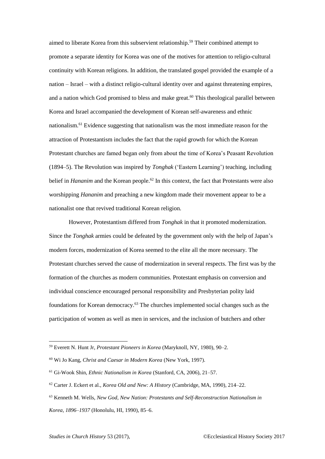aimed to liberate Korea from this subservient relationship.<sup>59</sup> Their combined attempt to promote a separate identity for Korea was one of the motives for attention to religio-cultural continuity with Korean religions. In addition, the translated gospel provided the example of a nation – Israel – with a distinct religio-cultural identity over and against threatening empires, and a nation which God promised to bless and make great.<sup>60</sup> This theological parallel between Korea and Israel accompanied the development of Korean self-awareness and ethnic nationalism.<sup>61</sup> Evidence suggesting that nationalism was the most immediate reason for the attraction of Protestantism includes the fact that the rapid growth for which the Korean Protestant churches are famed began only from about the time of Korea's Peasant Revolution (1894–5). The Revolution was inspired by *Tonghak* ('Eastern Learning') teaching, including belief in *Hananim* and the Korean people.<sup>62</sup> In this context, the fact that Protestants were also worshipping *Hananim* and preaching a new kingdom made their movement appear to be a nationalist one that revived traditional Korean religion.

However, Protestantism differed from *Tonghak* in that it promoted modernization. Since the *Tonghak* armies could be defeated by the government only with the help of Japan's modern forces, modernization of Korea seemed to the elite all the more necessary. The Protestant churches served the cause of modernization in several respects. The first was by the formation of the churches as modern communities. Protestant emphasis on conversion and individual conscience encouraged personal responsibility and Presbyterian polity laid foundations for Korean democracy.<sup>63</sup> The churches implemented social changes such as the participation of women as well as men in services, and the inclusion of butchers and other

<sup>59</sup> Everett N. Hunt Jr, *Protestant Pioneers in Korea* (Maryknoll, NY, 1980), 90–2.

<sup>60</sup> Wi Jo Kang, *Christ and Caesar in Modern Korea* (New York, 1997).

<sup>61</sup> Gi-Wook Shin, *Ethnic Nationalism in Korea* (Stanford, CA, 2006), 21–57.

<sup>62</sup> Carter J. Eckert et al., *Korea Old and New: A History* (Cambridge, MA, 1990), 214–22.

<sup>63</sup> Kenneth M. Wells, *New God, New Nation: Protestants and Self-Reconstruction Nationalism in Korea, 1896–1937* (Honolulu, HI, 1990), 85–6.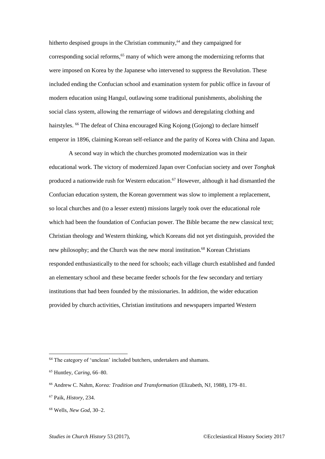hitherto despised groups in the Christian community,<sup>64</sup> and they campaigned for corresponding social reforms,<sup>65</sup> many of which were among the modernizing reforms that were imposed on Korea by the Japanese who intervened to suppress the Revolution. These included ending the Confucian school and examination system for public office in favour of modern education using Hangul, outlawing some traditional punishments, abolishing the social class system, allowing the remarriage of widows and deregulating clothing and hairstyles. <sup>66</sup> The defeat of China encouraged King Kojong (Gojong) to declare himself emperor in 1896, claiming Korean self-reliance and the parity of Korea with China and Japan.

A second way in which the churches promoted modernization was in their educational work. The victory of modernized Japan over Confucian society and over *Tonghak* produced a nationwide rush for Western education.<sup>67</sup> However, although it had dismantled the Confucian education system, the Korean government was slow to implement a replacement, so local churches and (to a lesser extent) missions largely took over the educational role which had been the foundation of Confucian power. The Bible became the new classical text; Christian theology and Western thinking, which Koreans did not yet distinguish, provided the new philosophy; and the Church was the new moral institution.<sup>68</sup> Korean Christians responded enthusiastically to the need for schools; each village church established and funded an elementary school and these became feeder schools for the few secondary and tertiary institutions that had been founded by the missionaries. In addition, the wider education provided by church activities, Christian institutions and newspapers imparted Western

 $\overline{a}$ 

*Studies in Church History* 53 (2017), ©Ecclesiastical History Society 2017

<sup>&</sup>lt;sup>64</sup> The category of 'unclean' included butchers, undertakers and shamans.

<sup>65</sup> Huntley, *Caring*, 66–80.

<sup>66</sup> Andrew C. Nahm, *Korea: Tradition and Transformation* (Elizabeth, NJ, 1988), 179–81.

<sup>67</sup> Paik, *History*, 234.

<sup>68</sup> Wells, *New God*, 30–2.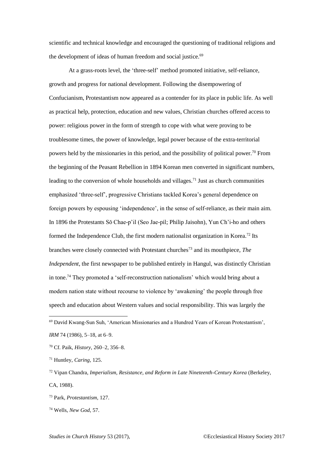scientific and technical knowledge and encouraged the questioning of traditional religions and the development of ideas of human freedom and social justice.<sup>69</sup>

At a grass-roots level, the 'three-self' method promoted initiative, self-reliance, growth and progress for national development. Following the disempowering of Confucianism, Protestantism now appeared as a contender for its place in public life. As well as practical help, protection, education and new values, Christian churches offered access to power: religious power in the form of strength to cope with what were proving to be troublesome times, the power of knowledge, legal power because of the extra-territorial powers held by the missionaries in this period, and the possibility of political power.<sup>70</sup> From the beginning of the Peasant Rebellion in 1894 Korean men converted in significant numbers, leading to the conversion of whole households and villages.<sup>71</sup> Just as church communities emphasized 'three-self', progressive Christians tackled Korea's general dependence on foreign powers by espousing 'independence', in the sense of self-reliance, as their main aim. In 1896 the Protestants Sŏ Chae-p'il (Seo Jae-pil; Philip Jaisohn), Yun Ch'i-ho and others formed the Independence Club, the first modern nationalist organization in Korea.<sup>72</sup> Its branches were closely connected with Protestant churches<sup>73</sup> and its mouthpiece, *The Independent*, the first newspaper to be published entirely in Hangul, was distinctly Christian in tone.<sup>74</sup> They promoted a 'self-reconstruction nationalism' which would bring about a modern nation state without recourse to violence by 'awakening' the people through free speech and education about Western values and social responsibility. This was largely the

<sup>69</sup> David Kwang-Sun Suh, 'American Missionaries and a Hundred Years of Korean Protestantism', *IRM* 74 (1986), 5–18, at 6–9.

<sup>70</sup> Cf. Paik, *History*, 260–2, 356–8.

<sup>71</sup> Huntley, *Caring*, 125.

<sup>72</sup> Vipan Chandra, *Imperialism, Resistance, and Reform in Late Nineteenth-Century Korea* (Berkeley, CA, 1988).

<sup>73</sup> Park, *Protestantism*, 127.

<sup>74</sup> Wells, *New God*, 57.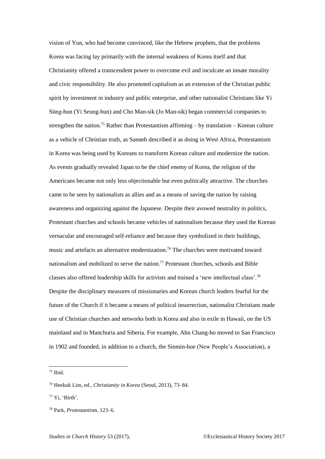vision of Yun, who had become convinced, like the Hebrew prophets, that the problems Korea was facing lay primarily with the internal weakness of Korea itself and that Christianity offered a transcendent power to overcome evil and inculcate an innate morality and civic responsibility. He also promoted capitalism as an extension of the Christian public spirit by investment in industry and public enterprise, and other nationalist Christians like Yi Sŭng-hun (Yi Seung-hun) and Cho Man-sik (Jo Man-sik) began commercial companies to strengthen the nation.<sup>75</sup> Rather than Protestantism affirming – by translation – Korean culture as a vehicle of Christian truth, as Sanneh described it as doing in West Africa, Protestantism in Korea was being used by Koreans to transform Korean culture and modernize the nation. As events gradually revealed Japan to be the chief enemy of Korea, the religion of the Americans became not only less objectionable but even politically attractive. The churches came to be seen by nationalists as allies and as a means of saving the nation by raising awareness and organizing against the Japanese. Despite their avowed neutrality in politics, Protestant churches and schools became vehicles of nationalism because they used the Korean vernacular and encouraged self-reliance and because they symbolized in their buildings, music and artefacts an alternative modernization.<sup>76</sup> The churches were motivated toward nationalism and mobilized to serve the nation.<sup>77</sup> Protestant churches, schools and Bible classes also offered leadership skills for activists and trained a 'new intellectual class'.<sup>78</sup> Despite the disciplinary measures of missionaries and Korean church leaders fearful for the future of the Church if it became a means of political insurrection, nationalist Christians made use of Christian churches and networks both in Korea and also in exile in Hawaii, on the US mainland and in Manchuria and Siberia. For example, Ahn Chang-ho moved to San Francisco in 1902 and founded, in addition to a church, the Sinmin-hoe (New People's Association), a

 $75$  Ibid.

<sup>76</sup> Heekuk Lim, ed., *Christianity in Korea* (Seoul, 2013), 73–84.

<sup>77</sup> Yi, 'Birth'.

<sup>78</sup> Park, *Protestantism*, 123–6.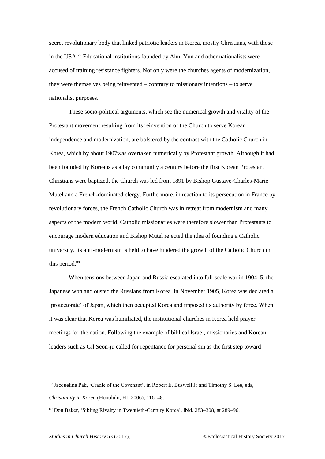secret revolutionary body that linked patriotic leaders in Korea, mostly Christians, with those in the USA.<sup>79</sup> Educational institutions founded by Ahn, Yun and other nationalists were accused of training resistance fighters. Not only were the churches agents of modernization, they were themselves being reinvented – contrary to missionary intentions – to serve nationalist purposes.

These socio-political arguments, which see the numerical growth and vitality of the Protestant movement resulting from its reinvention of the Church to serve Korean independence and modernization, are bolstered by the contrast with the Catholic Church in Korea, which by about 1907was overtaken numerically by Protestant growth. Although it had been founded by Koreans as a lay community a century before the first Korean Protestant Christians were baptized, the Church was led from 1891 by Bishop Gustave-Charles-Marie Mutel and a French-dominated clergy. Furthermore, in reaction to its persecution in France by revolutionary forces, the French Catholic Church was in retreat from modernism and many aspects of the modern world. Catholic missionaries were therefore slower than Protestants to encourage modern education and Bishop Mutel rejected the idea of founding a Catholic university. Its anti-modernism is held to have hindered the growth of the Catholic Church in this period.<sup>80</sup>

When tensions between Japan and Russia escalated into full-scale war in 1904–5, the Japanese won and ousted the Russians from Korea. In November 1905, Korea was declared a 'protectorate' of Japan, which then occupied Korea and imposed its authority by force. When it was clear that Korea was humiliated, the institutional churches in Korea held prayer meetings for the nation. Following the example of biblical Israel, missionaries and Korean leaders such as Gil Seon-ju called for repentance for personal sin as the first step toward

<sup>79</sup> Jacqueline Pak, 'Cradle of the Covenant', in Robert E. Buswell Jr and Timothy S. Lee, eds,

*Christianity in Korea* (Honolulu, HI, 2006), 116–48.

<sup>80</sup> Don Baker, 'Sibling Rivalry in Twentieth-Century Korea', ibid. 283–308, at 289–96.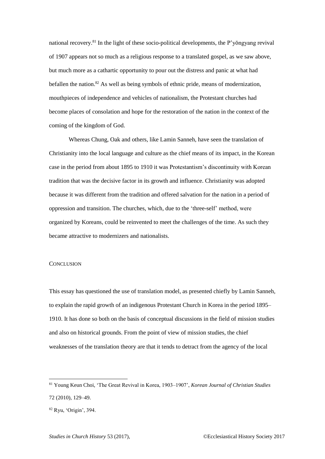national recovery.<sup>81</sup> In the light of these socio-political developments, the P'yŏngyang revival of 1907 appears not so much as a religious response to a translated gospel, as we saw above, but much more as a cathartic opportunity to pour out the distress and panic at what had befallen the nation. $82$  As well as being symbols of ethnic pride, means of modernization, mouthpieces of independence and vehicles of nationalism, the Protestant churches had become places of consolation and hope for the restoration of the nation in the context of the coming of the kingdom of God.

Whereas Chung, Oak and others, like Lamin Sanneh, have seen the translation of Christianity into the local language and culture as the chief means of its impact, in the Korean case in the period from about 1895 to 1910 it was Protestantism's discontinuity with Korean tradition that was the decisive factor in its growth and influence. Christianity was adopted because it was different from the tradition and offered salvation for the nation in a period of oppression and transition. The churches, which, due to the 'three-self' method, were organized by Koreans, could be reinvented to meet the challenges of the time. As such they became attractive to modernizers and nationalists.

#### **CONCLUSION**

This essay has questioned the use of translation model, as presented chiefly by Lamin Sanneh, to explain the rapid growth of an indigenous Protestant Church in Korea in the period 1895– 1910. It has done so both on the basis of conceptual discussions in the field of mission studies and also on historical grounds. From the point of view of mission studies, the chief weaknesses of the translation theory are that it tends to detract from the agency of the local

<sup>81</sup> Young Keun Choi, 'The Great Revival in Korea, 1903–1907', *Korean Journal of Christian Studies* 72 (2010), 129–49.

<sup>82</sup> Ryu, 'Origin', 394.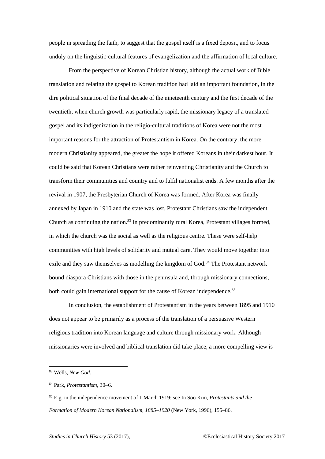people in spreading the faith, to suggest that the gospel itself is a fixed deposit, and to focus unduly on the linguistic-cultural features of evangelization and the affirmation of local culture.

From the perspective of Korean Christian history, although the actual work of Bible translation and relating the gospel to Korean tradition had laid an important foundation, in the dire political situation of the final decade of the nineteenth century and the first decade of the twentieth, when church growth was particularly rapid, the missionary legacy of a translated gospel and its indigenization in the religio-cultural traditions of Korea were not the most important reasons for the attraction of Protestantism in Korea. On the contrary, the more modern Christianity appeared, the greater the hope it offered Koreans in their darkest hour. It could be said that Korean Christians were rather reinventing Christianity and the Church to transform their communities and country and to fulfil nationalist ends. A few months after the revival in 1907, the Presbyterian Church of Korea was formed. After Korea was finally annexed by Japan in 1910 and the state was lost, Protestant Christians saw the independent Church as continuing the nation.<sup>83</sup> In predominantly rural Korea, Protestant villages formed, in which the church was the social as well as the religious centre. These were self-help communities with high levels of solidarity and mutual care. They would move together into exile and they saw themselves as modelling the kingdom of God.<sup>84</sup> The Protestant network bound diaspora Christians with those in the peninsula and, through missionary connections, both could gain international support for the cause of Korean independence.<sup>85</sup>

In conclusion, the establishment of Protestantism in the years between 1895 and 1910 does not appear to be primarily as a process of the translation of a persuasive Western religious tradition into Korean language and culture through missionary work. Although missionaries were involved and biblical translation did take place, a more compelling view is

<sup>83</sup> Wells, *New God*.

<sup>84</sup> Park, *Protestantism*, 30–6.

<sup>85</sup> E.g. in the independence movement of 1 March 1919: see In Soo Kim, *Protestants and the Formation of Modern Korean Nationalism, 1885–1920* (New York, 1996), 155–86.